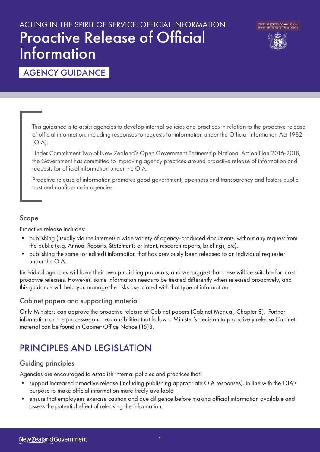# ACTING IN THE SPIRIT OF SERVICE: OFFICIAL INFORMATION Proactive Release of Official **Information**



### AGENCY GUIDANCE

This guidance is to assist agencies to develop internal policies and practices in relation to the proactive release of official information, including responses to requests for information under the Official Information Act 1982 (OIA).

Under Commitment Two of New Zealand's Open Government Partnership National Action Plan 2016-2018, the Government has committed to improving agency practices around proactive release of information and requests for official information under the OIA.

Proactive release of information promotes good government, openness and transparency and fosters public trust and confidence in agencies.

#### Scope

Proactive release includes:

- publishing (usually via the internet) a wide variety of agency-produced documents, without any request from the public (e.g. Annual Reports, Statements of Intent, research reports, briefings, etc).
- publishing the same (or edited) information that has previously been released to an individual requester under the OIA.

Individual agencies will have their own publishing protocols, and we suggest that these will be suitable for most proactive releases. However, some information needs to be treated differently when released proactively, and this guidance will help you manage the risks associated with that type of information.

#### Cabinet papers and supporting material

Only Ministers can approve the proactive release of Cabinet papers (Cabinet Manual, Chapter 8). Further information on the processes and responsibilities that follow a Minister's decision to proactively release Cabinet material can be found in Cabinet Office Notice (15)3.

### PRINCIPLES AND LEGISLATION

#### Guiding principles

Agencies are encouraged to establish internal policies and practices that:

- support increased proactive release (including publishing appropriate OIA responses), in line with the OIA's purpose to make official information more freely available
- ensure that employees exercise caution and due diligence before making official information available and assess the potential effect of releasing the information.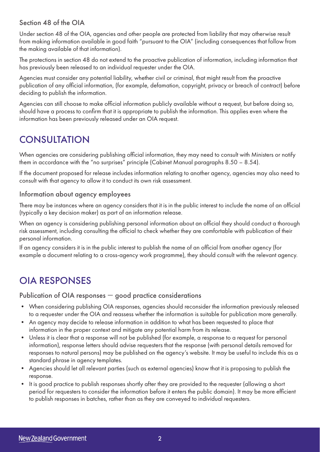#### Section 48 of the OIA

Under section 48 of the OIA, agencies and other people are protected from liability that may otherwise result from making information available in good faith "pursuant to the OIA" (including consequences that follow from the making available of that information).

The protections in section 48 do not extend to the proactive publication of information, including information that has previously been released to an individual requester under the OIA.

Agencies must consider any potential liability, whether civil or criminal, that might result from the proactive publication of any official information, (for example, defamation, copyright, privacy or breach of contract) before deciding to publish the information.

Agencies can still choose to make official information publicly available without a request, but before doing so, should have a process to confirm that it is appropriate to publish the information. This applies even where the information has been previously released under an OIA request.

### **CONSULTATION**

When agencies are considering publishing official information, they may need to consult with Ministers or notify them in accordance with the "no surprises" principle (Cabinet Manual paragraphs 8.50 – 8.54).

If the document proposed for release includes information relating to another agency, agencies may also need to consult with that agency to allow it to conduct its own risk assessment.

#### Information about agency employees

There may be instances where an agency considers that it is in the public interest to include the name of an official (typically a key decision maker) as part of an information release.

When an agency is considering publishing personal information about an official they should conduct a thorough risk assessment, including consulting the official to check whether they are comfortable with publication of their personal information.

If an agency considers it is in the public interest to publish the name of an official from another agency (for example a document relating to a cross-agency work programme), they should consult with the relevant agency.

## OIA RESPONSES

#### Publication of OIA responses — good practice considerations

- When considering publishing OIA responses, agencies should reconsider the information previously released to a requester under the OIA and reassess whether the information is suitable for publication more generally.
- An agency may decide to release information in addition to what has been requested to place that information in the proper context and mitigate any potential harm from its release.
- Unless it is clear that a response will not be published (for example, a response to a request for personal information), response letters should advise requesters that the response (with personal details removed for responses to natural persons) may be published on the agency's website. It may be useful to include this as a standard phrase in agency templates.
- Agencies should let all relevant parties (such as external agencies) know that it is proposing to publish the response.
- It is good practice to publish responses shortly after they are provided to the requester (allowing a short period for requesters to consider the information before it enters the public domain). It may be more efficient to publish responses in batches, rather than as they are conveyed to individual requesters.